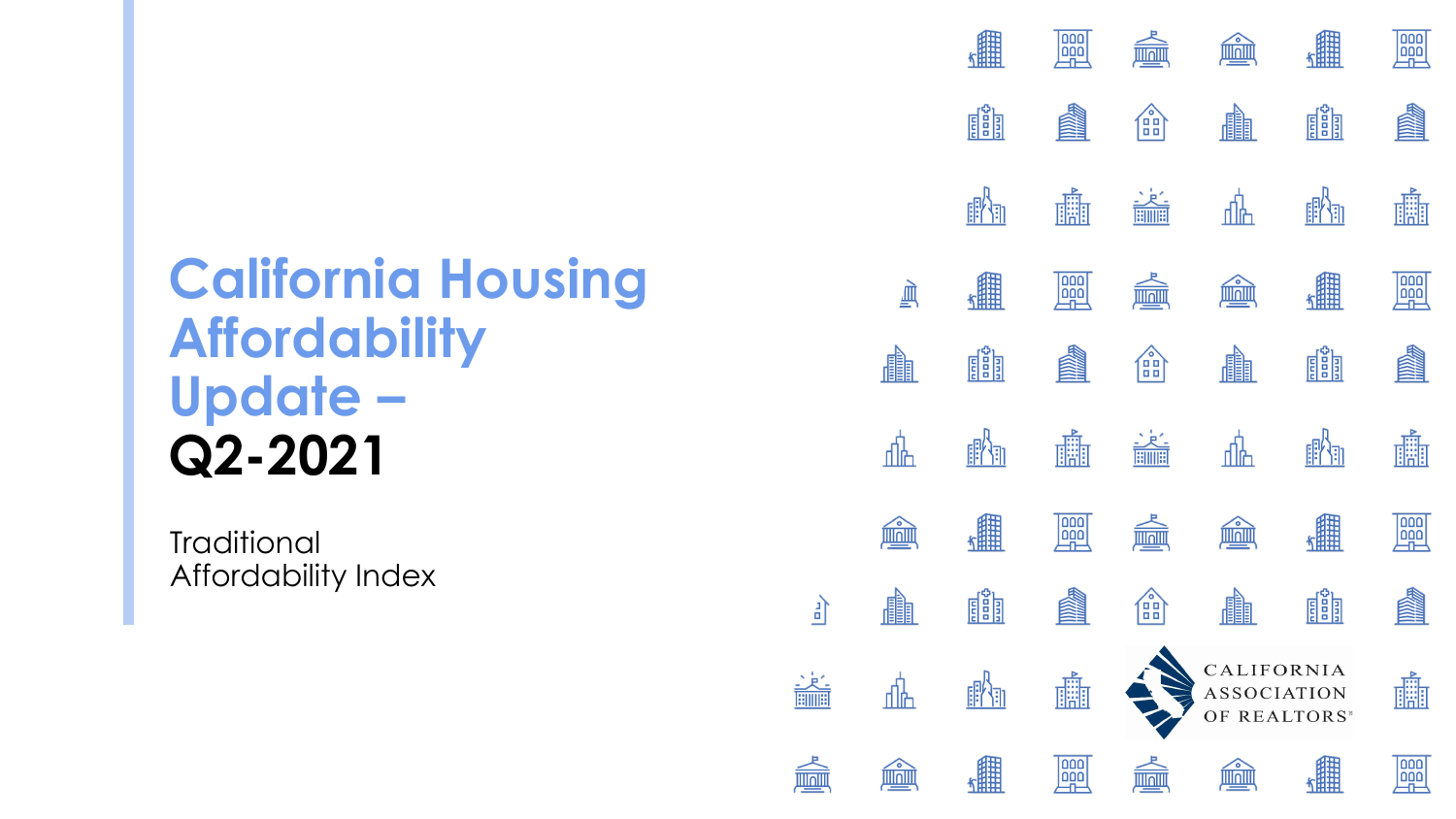# **California Housing Affordability Update – Q2-2021**

**Traditional** Affordability Index













 $\frac{1}{\sqrt{2}}$ 

血





| 繡            | $\begin{array}{ c } \hline \text{DD} \\ \hline \text{DD} \end{array}$    |                                                  | ۰                                                     | 鼺           | $\begin{tabular}{ c c } \hline \textbf{OO} \\ \hline \textbf{OO} \\ \hline \textbf{OO} \\ \hline \end{tabular}$                                           |
|--------------|--------------------------------------------------------------------------|--------------------------------------------------|-------------------------------------------------------|-------------|-----------------------------------------------------------------------------------------------------------------------------------------------------------|
| ES<br>EST    |                                                                          | $\begin{pmatrix} 1 \\ 0 \\ 0 \\ 0 \end{pmatrix}$ | <b>FRANCE</b>                                         | <u>dåj</u>  |                                                                                                                                                           |
| 瞷<br>F)      | H.                                                                       | $\frac{1}{\frac{1}{2}}$                          |                                                       | 瞷<br>31     | Ét                                                                                                                                                        |
| 鑘            | $\begin{array}{ c } \hline \text{loop} \\ \hline \text{000} \end{array}$ |                                                  | $\bullet$                                             | 鼺           | $\begin{tabular}{ c c } \hline \textbf{OO} & \textbf{OO} \\ \hline \textbf{OO} & \textbf{OO} \\ \hline \textbf{OO} & \textbf{OO} \\ \hline \end{tabular}$ |
| <u>est</u>   |                                                                          | $\begin{pmatrix} 0 \\ 0 \\ 0 \\ 0 \end{pmatrix}$ | <b>III</b>                                            | <u>est</u>  |                                                                                                                                                           |
|              | 畾                                                                        | <b>HIMH</b>                                      |                                                       | l<br>a      | 矖                                                                                                                                                         |
|              | $\begin{array}{c} 000 \\[-4pt] 000 \end{array}$                          |                                                  |                                                       |             | 000<br>$\overline{000}$                                                                                                                                   |
| <u>elğil</u> |                                                                          | $\bullet$<br>99                                  | <b>FEED</b>                                           | <u>EŠEJ</u> |                                                                                                                                                           |
|              | 臑                                                                        |                                                  | CALIFORNIA<br>ASSOCIATION<br>OF REALTORS <sup>*</sup> |             | 艜                                                                                                                                                         |
|              | 000<br>000                                                               |                                                  |                                                       |             | 000                                                                                                                                                       |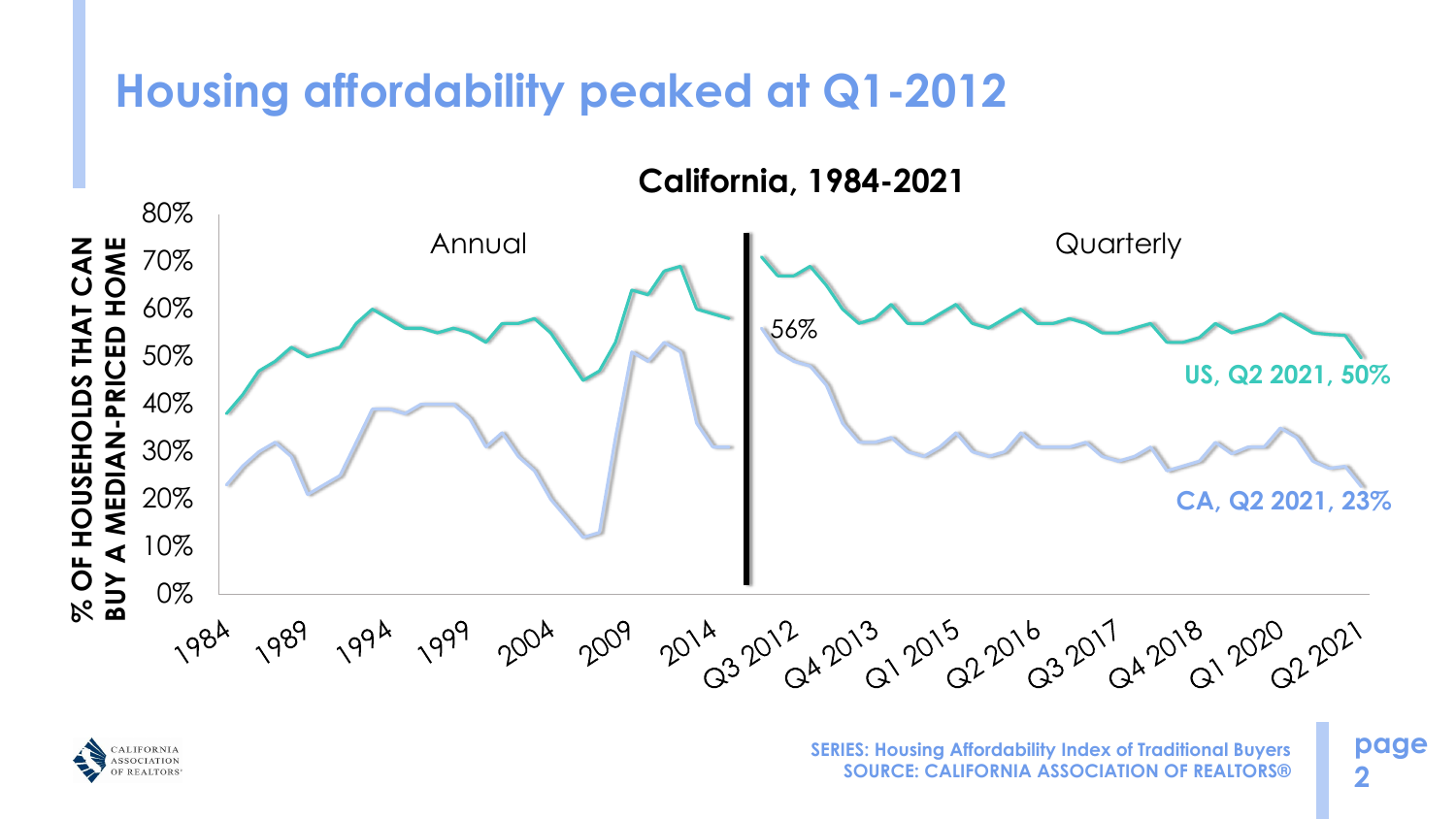**page 2**



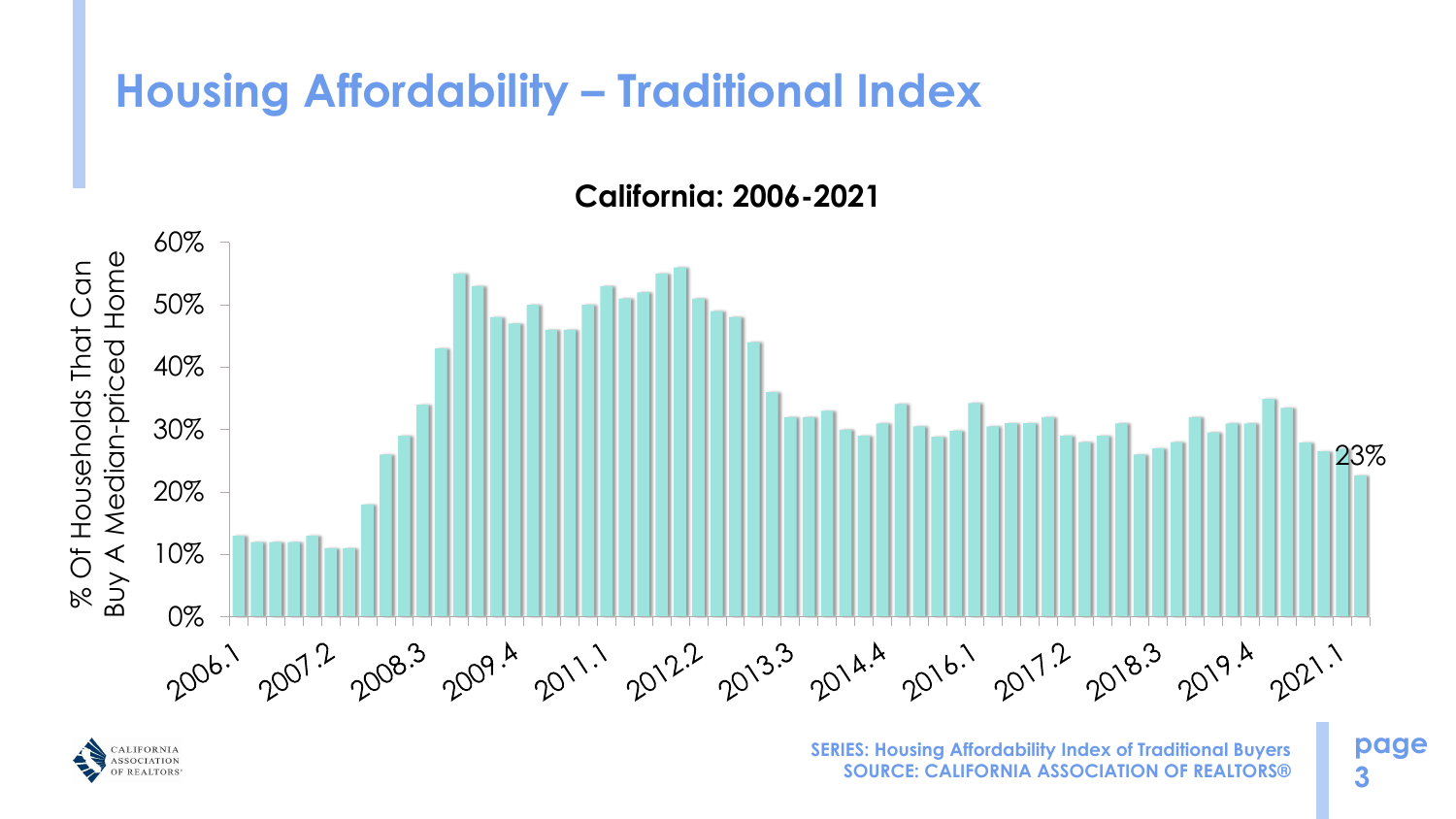## **Housing Affordability – Traditional Index**

**page 3**

**California: 2006-2021**



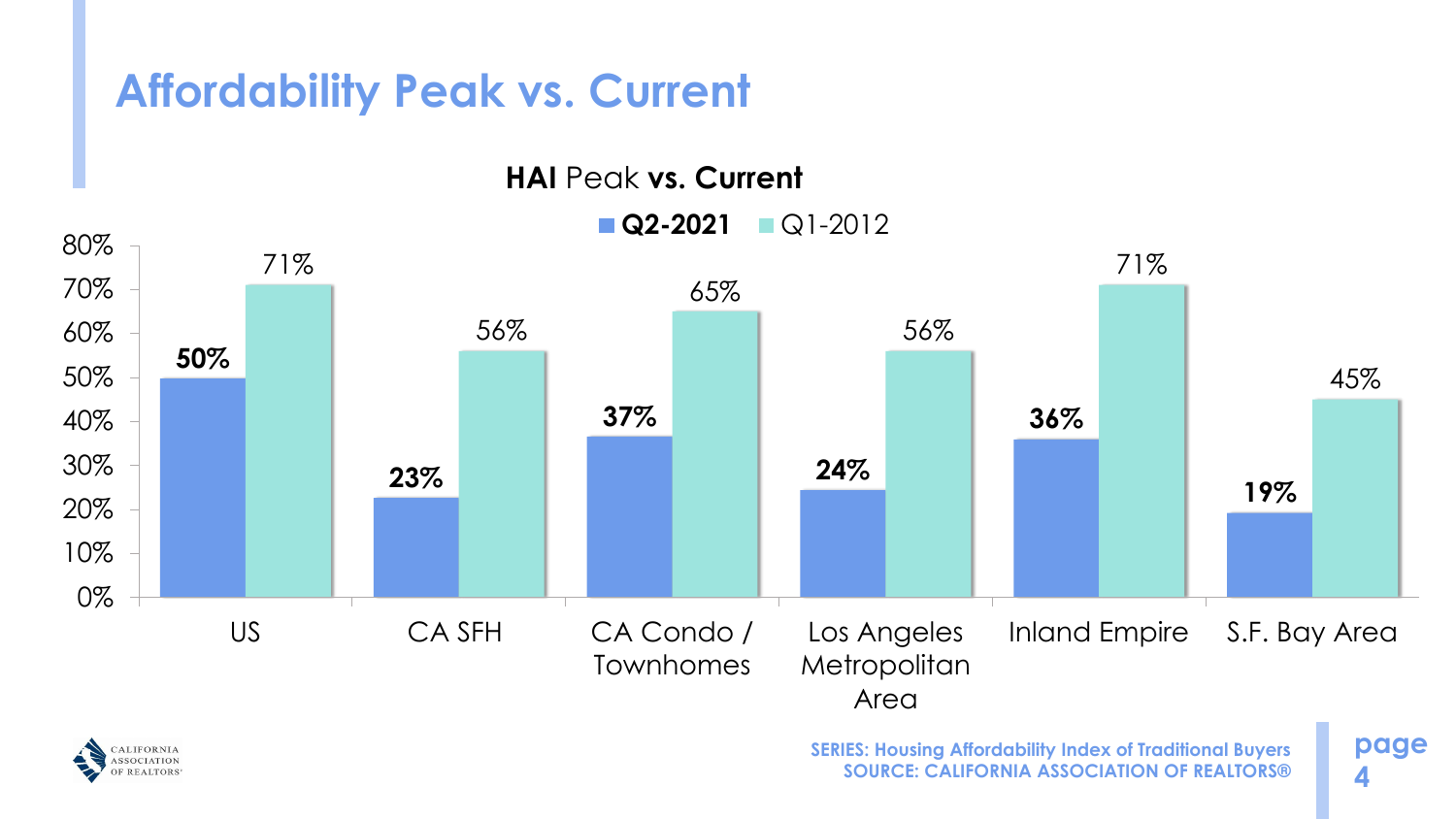# **Affordability Peak vs. Current**

**HAI Peak vs. Current** 

**page 4**



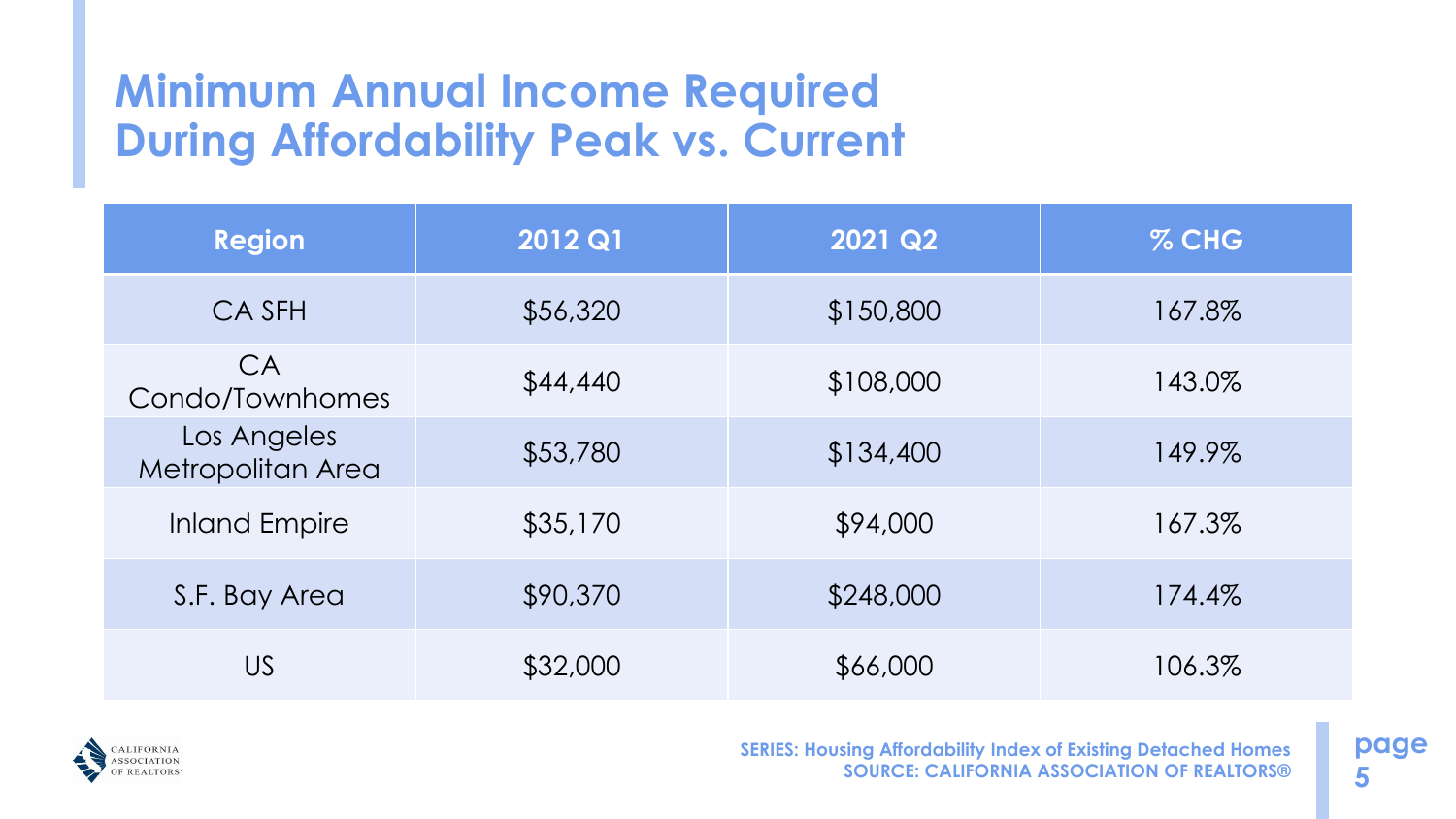## **Minimum Annual Income Required During Affordability Peak vs. Current**

**page 5**

| Region                           | 2012 Q1  | 2021 Q2   | $%$ CHG |
|----------------------------------|----------|-----------|---------|
| CA SFH                           | \$56,320 | \$150,800 | 167.8%  |
| CA<br>Condo/Townhomes            | \$44,440 | \$108,000 | 143.0%  |
| Los Angeles<br>Metropolitan Area | \$53,780 | \$134,400 | 149.9%  |
| <b>Inland Empire</b>             | \$35,170 | \$94,000  | 167.3%  |
| S.F. Bay Area                    | \$90,370 | \$248,000 | 174.4%  |
| <b>US</b>                        | \$32,000 | \$66,000  | 106.3%  |

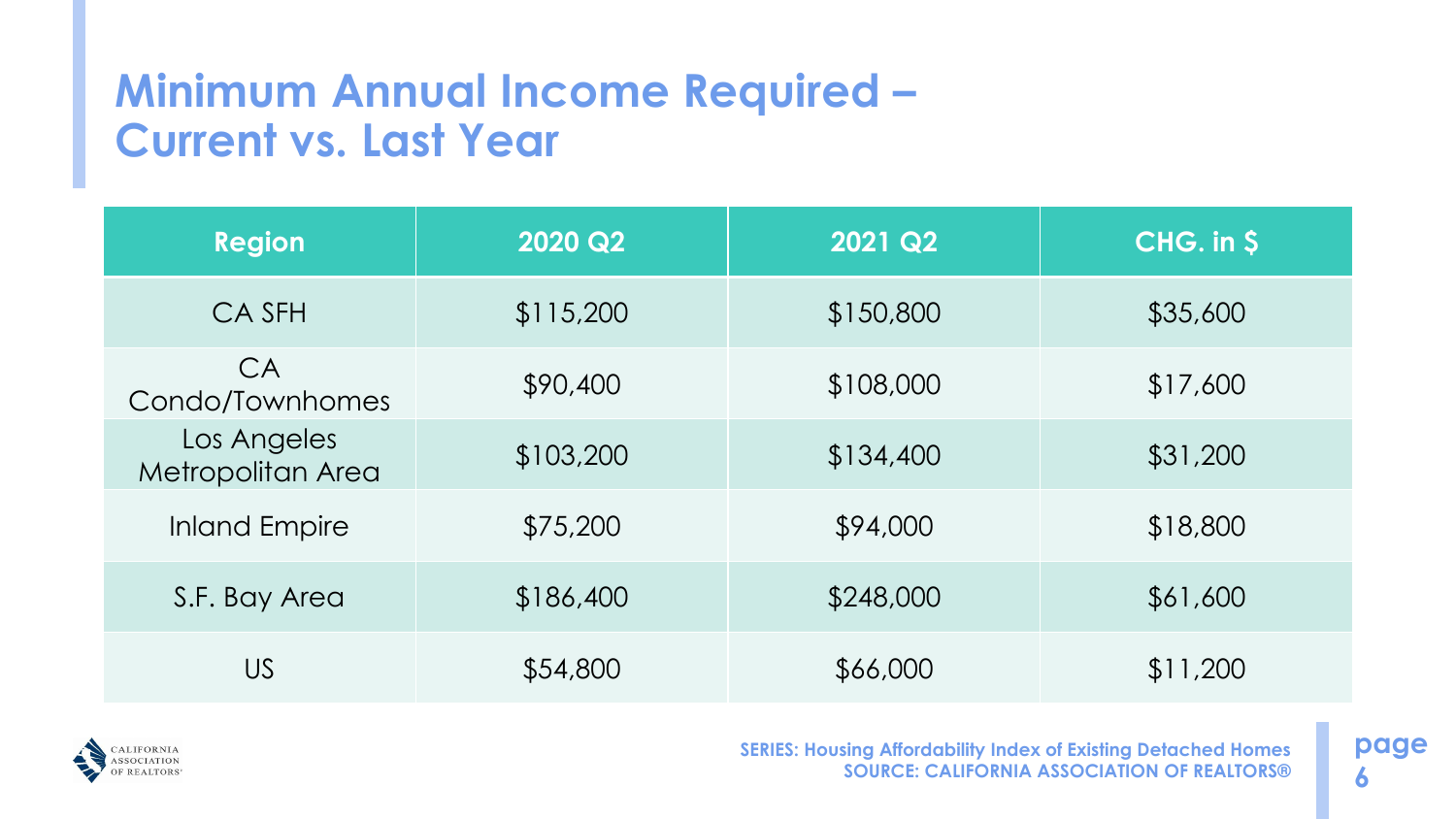### **Minimum Annual Income Required – Current vs. Last Year**

**page 6**

| <b>Region</b>                    | 2020 Q2   | 2021 Q2   | CHG. in \$ |
|----------------------------------|-----------|-----------|------------|
| CA SFH                           | \$115,200 | \$150,800 | \$35,600   |
| CA<br>Condo/Townhomes            | \$90,400  | \$108,000 | \$17,600   |
| Los Angeles<br>Metropolitan Area | \$103,200 | \$134,400 | \$31,200   |
| <b>Inland Empire</b>             | \$75,200  | \$94,000  | \$18,800   |
| S.F. Bay Area                    | \$186,400 | \$248,000 | \$61,600   |
| <b>US</b>                        | \$54,800  | \$66,000  | \$11,200   |

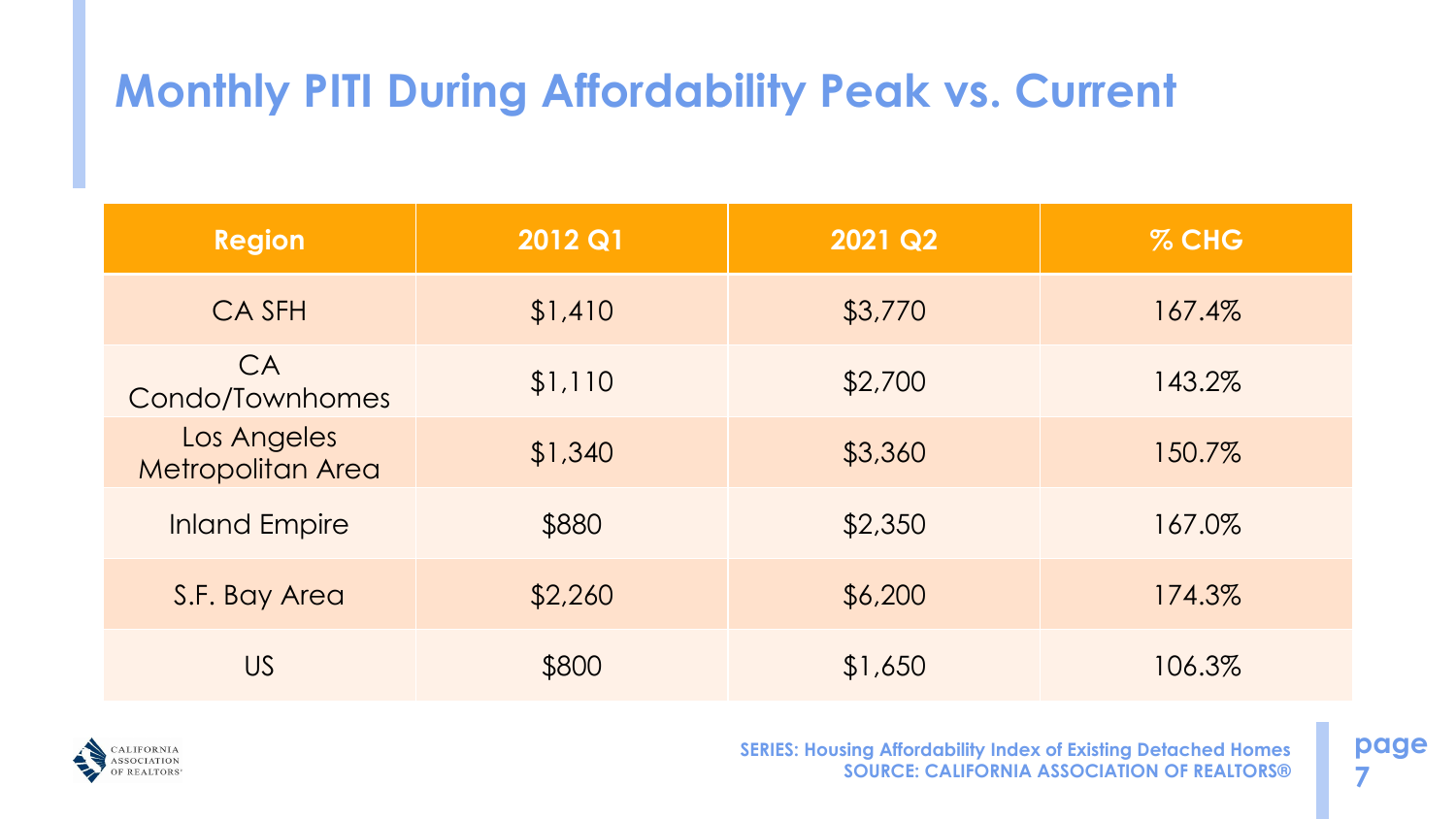# **Monthly PITI During Affordability Peak vs. Current**

**page 7**

| <b>Region</b>                           | <b>2012 Q1</b> | 2021 Q2 | $%$ CHG |
|-----------------------------------------|----------------|---------|---------|
| <b>CASFH</b>                            | \$1,410        | \$3,770 | 167.4%  |
| CA<br>Condo/Townhomes                   | \$1,110        | \$2,700 | 143.2%  |
| Los Angeles<br><b>Metropolitan Area</b> | \$1,340        | \$3,360 | 150.7%  |
| <b>Inland Empire</b>                    | \$880          | \$2,350 | 167.0%  |
| S.F. Bay Area                           | \$2,260        | \$6,200 | 174.3%  |
| <b>US</b>                               | \$800          | \$1,650 | 106.3%  |

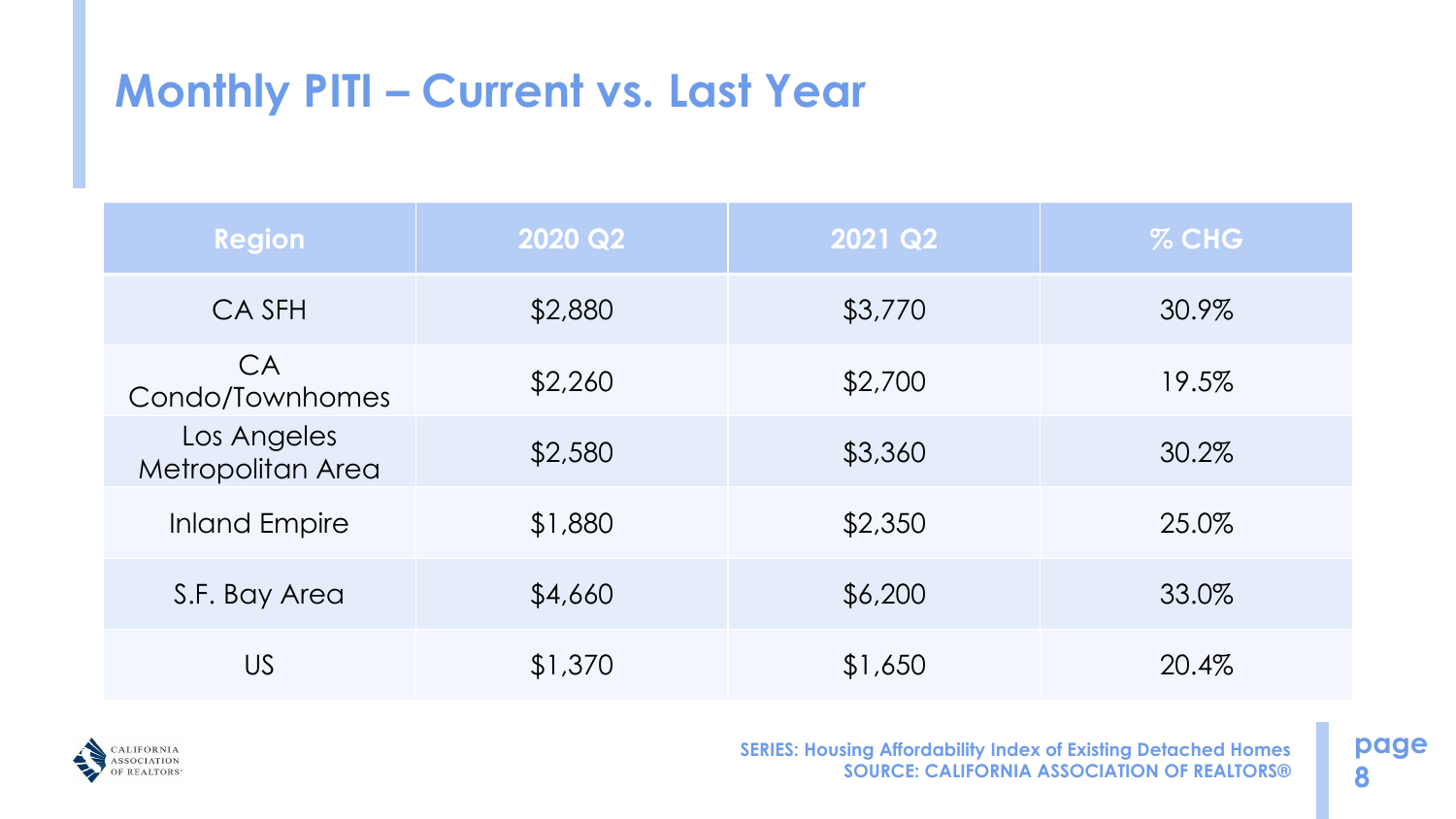# **Monthly PITI – Current vs. Last Year**

**page 8**

| <b>Region</b>                    | <b>2020 Q2</b> | 2021 Q2 | % CHG |
|----------------------------------|----------------|---------|-------|
| CA SFH                           | \$2,880        | \$3,770 | 30.9% |
| CA<br>Condo/Townhomes            | \$2,260        | \$2,700 | 19.5% |
| Los Angeles<br>Metropolitan Area | \$2,580        | \$3,360 | 30.2% |
| <b>Inland Empire</b>             | \$1,880        | \$2,350 | 25.0% |
| S.F. Bay Area                    | \$4,660        | \$6,200 | 33.0% |
| <b>US</b>                        | \$1,370        | \$1,650 | 20.4% |

![](_page_7_Picture_2.jpeg)